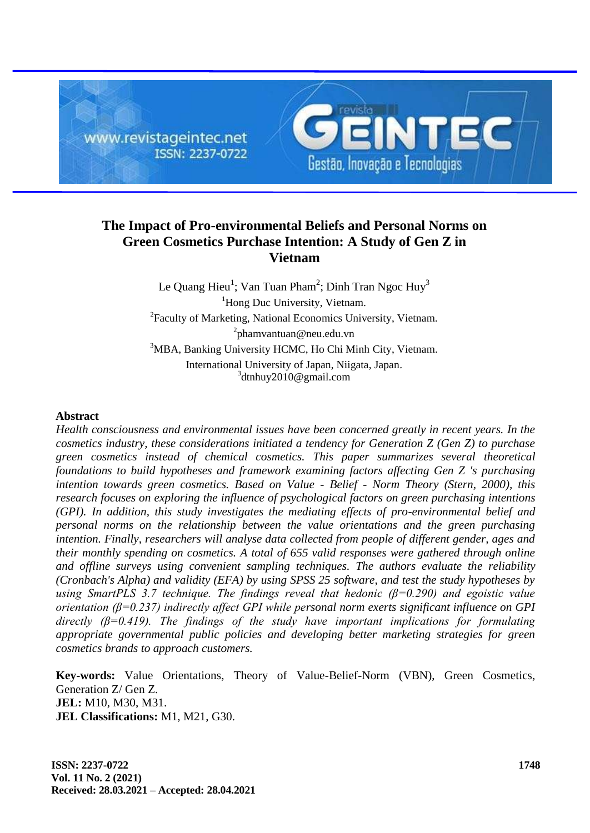

## **The Impact of Pro-environmental Beliefs and Personal Norms on Green Cosmetics Purchase Intention: A Study of Gen Z in Vietnam**

Le Quang Hieu $^1$ ; Van Tuan Pham $^2$ ; Dinh Tran Ngoc Huy $^3$ <sup>1</sup>Hong Duc University, Vietnam. <sup>2</sup>Faculty of Marketing, National Economics University, Vietnam. <sup>2</sup>phamvantuan@neu.edu.vn <sup>3</sup>MBA, Banking University HCMC, Ho Chi Minh City, Vietnam. International University of Japan, Niigata, Japan. 3 [dtnhuy2010@gmail.com](mailto:1dtnhuy2010@gmail.com)

### **Abstract**

*Health consciousness and environmental issues have been concerned greatly in recent years. In the cosmetics industry, these considerations initiated a tendency for Generation Z (Gen Z) to purchase green cosmetics instead of chemical cosmetics. This paper summarizes several theoretical foundations to build hypotheses and framework examining factors affecting Gen Z 's purchasing intention towards green cosmetics. Based on Value - Belief - Norm Theory (Stern, 2000), this research focuses on exploring the influence of psychological factors on green purchasing intentions (GPI). In addition, this study investigates the mediating effects of pro-environmental belief and personal norms on the relationship between the value orientations and the green purchasing intention. Finally, researchers will analyse data collected from people of different gender, ages and their monthly spending on cosmetics. A total of 655 valid responses were gathered through online and offline surveys using convenient sampling techniques. The authors evaluate the reliability (Cronbach's Alpha) and validity (EFA) by using SPSS 25 software, and test the study hypotheses by using SmartPLS 3.7 technique. The findings reveal that hedonic (β=0.290) and egoistic value orientation (β=0.237) indirectly affect GPI while personal norm exerts significant influence on GPI directly (β=0.419). The findings of the study have important implications for formulating appropriate governmental public policies and developing better marketing strategies for green cosmetics brands to approach customers.*

**Key-words:** Value Orientations, Theory of Value-Belief-Norm (VBN), Green Cosmetics, Generation Z/ Gen Z. **JEL:** M10, M30, M31. **JEL Classifications:** M1, M21, G30.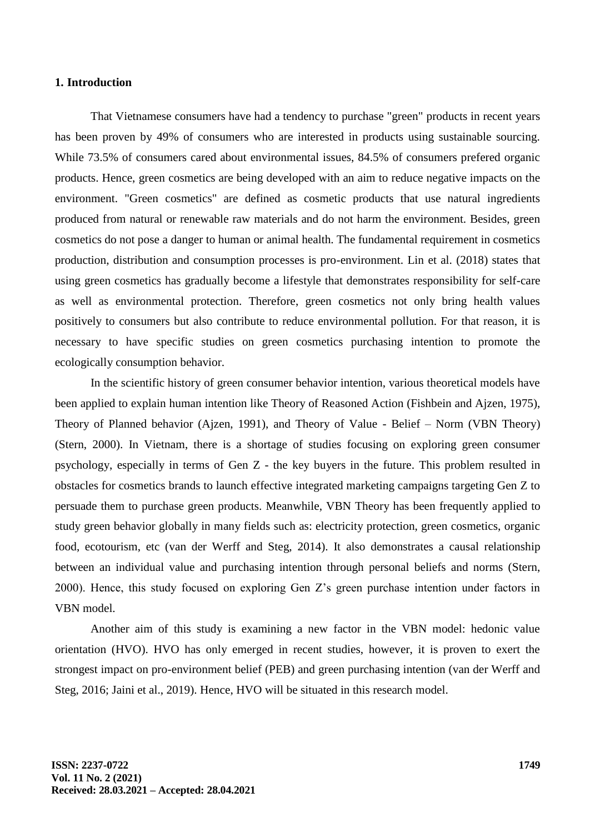#### **1. Introduction**

That Vietnamese consumers have had a tendency to purchase "green" products in recent years has been proven by 49% of consumers who are interested in products using sustainable sourcing. While 73.5% of consumers cared about environmental issues, 84.5% of consumers prefered organic products. Hence, green cosmetics are being developed with an aim to reduce negative impacts on the environment. "Green cosmetics" are defined as cosmetic products that use natural ingredients produced from natural or renewable raw materials and do not harm the environment. Besides, green cosmetics do not pose a danger to human or animal health. The fundamental requirement in cosmetics production, distribution and consumption processes is pro-environment. Lin et al. (2018) states that using green cosmetics has gradually become a lifestyle that demonstrates responsibility for self-care as well as environmental protection. Therefore, green cosmetics not only bring health values positively to consumers but also contribute to reduce environmental pollution. For that reason, it is necessary to have specific studies on green cosmetics purchasing intention to promote the ecologically consumption behavior.

In the scientific history of green consumer behavior intention, various theoretical models have been applied to explain human intention like Theory of Reasoned Action (Fishbein and Ajzen, 1975), Theory of Planned behavior (Ajzen, 1991), and Theory of Value - Belief – Norm (VBN Theory) (Stern, 2000). In Vietnam, there is a shortage of studies focusing on exploring green consumer psychology, especially in terms of Gen Z - the key buyers in the future. This problem resulted in obstacles for cosmetics brands to launch effective integrated marketing campaigns targeting Gen Z to persuade them to purchase green products. Meanwhile, VBN Theory has been frequently applied to study green behavior globally in many fields such as: electricity protection, green cosmetics, organic food, ecotourism, etc (van der Werff and Steg, 2014). It also demonstrates a causal relationship between an individual value and purchasing intention through personal beliefs and norms (Stern, 2000). Hence, this study focused on exploring Gen Z's green purchase intention under factors in VBN model.

Another aim of this study is examining a new factor in the VBN model: hedonic value orientation (HVO). HVO has only emerged in recent studies, however, it is proven to exert the strongest impact on pro-environment belief (PEB) and green purchasing intention (van der Werff and Steg, 2016; Jaini et al., 2019). Hence, HVO will be situated in this research model.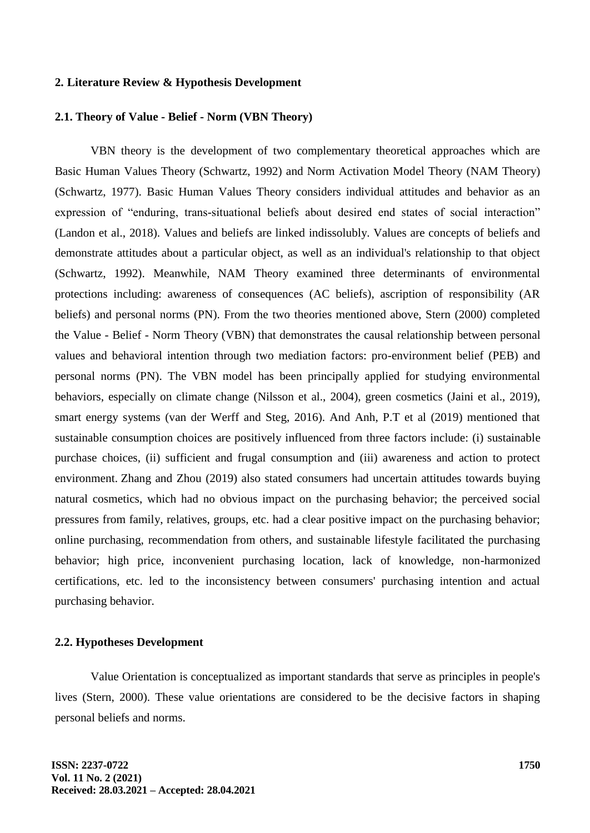#### **2. Literature Review & Hypothesis Development**

#### **2.1. Theory of Value - Belief - Norm (VBN Theory)**

VBN theory is the development of two complementary theoretical approaches which are Basic Human Values Theory (Schwartz, 1992) and Norm Activation Model Theory (NAM Theory) (Schwartz, 1977). Basic Human Values Theory considers individual attitudes and behavior as an expression of "enduring, trans-situational beliefs about desired end states of social interaction" (Landon et al., 2018). Values and beliefs are linked indissolubly. Values are concepts of beliefs and demonstrate attitudes about a particular object, as well as an individual's relationship to that object (Schwartz, 1992). Meanwhile, NAM Theory examined three determinants of environmental protections including: awareness of consequences (AC beliefs), ascription of responsibility (AR beliefs) and personal norms (PN). From the two theories mentioned above, Stern (2000) completed the Value - Belief - Norm Theory (VBN) that demonstrates the causal relationship between personal values and behavioral intention through two mediation factors: pro-environment belief (PEB) and personal norms (PN). The VBN model has been principally applied for studying environmental behaviors, especially on climate change (Nilsson et al., 2004), green cosmetics (Jaini et al., 2019), smart energy systems (van der Werff and Steg, 2016). And Anh, P.T et al (2019) mentioned that sustainable consumption choices are positively influenced from three factors include: (i) sustainable purchase choices, (ii) sufficient and frugal consumption and (iii) awareness and action to protect environment. Zhang and Zhou (2019) also stated consumers had uncertain attitudes towards buying natural cosmetics, which had no obvious impact on the purchasing behavior; the perceived social pressures from family, relatives, groups, etc. had a clear positive impact on the purchasing behavior; online purchasing, recommendation from others, and sustainable lifestyle facilitated the purchasing behavior; high price, inconvenient purchasing location, lack of knowledge, non-harmonized certifications, etc. led to the inconsistency between consumers' purchasing intention and actual purchasing behavior.

#### **2.2. Hypotheses Development**

Value Orientation is conceptualized as important standards that serve as principles in people's lives (Stern, 2000). These value orientations are considered to be the decisive factors in shaping personal beliefs and norms.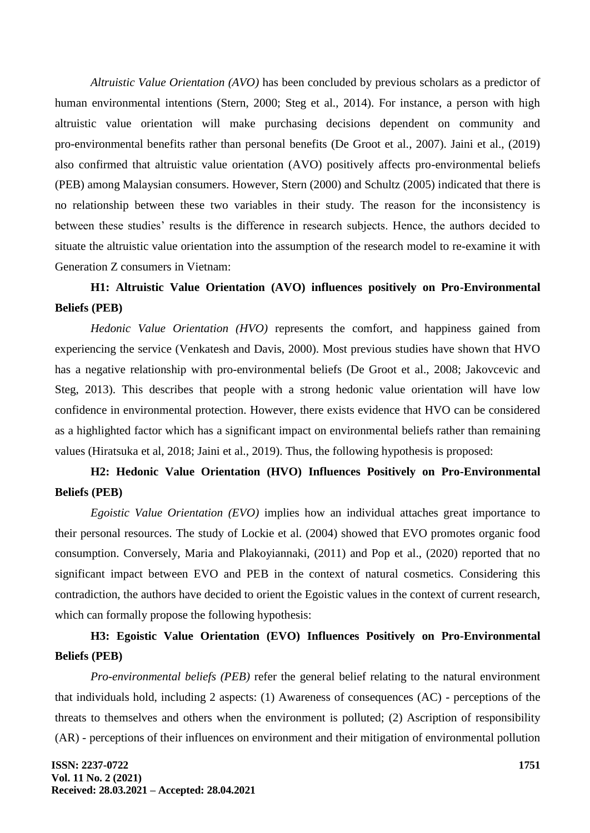*Altruistic Value Orientation (AVO)* has been concluded by previous scholars as a predictor of human environmental intentions (Stern, 2000; Steg et al., 2014). For instance, a person with high altruistic value orientation will make purchasing decisions dependent on community and pro-environmental benefits rather than personal benefits (De Groot et al., 2007). Jaini et al., (2019) also confirmed that altruistic value orientation (AVO) positively affects pro-environmental beliefs (PEB) among Malaysian consumers. However, Stern (2000) and Schultz (2005) indicated that there is no relationship between these two variables in their study. The reason for the inconsistency is between these studies' results is the difference in research subjects. Hence, the authors decided to situate the altruistic value orientation into the assumption of the research model to re-examine it with Generation Z consumers in Vietnam:

# **H1: Altruistic Value Orientation (AVO) influences positively on Pro-Environmental Beliefs (PEB)**

*Hedonic Value Orientation (HVO)* represents the comfort, and happiness gained from experiencing the service (Venkatesh and Davis, 2000). Most previous studies have shown that HVO has a negative relationship with pro-environmental beliefs (De Groot et al., 2008; Jakovcevic and Steg, 2013). This describes that people with a strong hedonic value orientation will have low confidence in environmental protection. However, there exists evidence that HVO can be considered as a highlighted factor which has a significant impact on environmental beliefs rather than remaining values (Hiratsuka et al, 2018; Jaini et al., 2019). Thus, the following hypothesis is proposed:

## **H2: Hedonic Value Orientation (HVO) Influences Positively on Pro-Environmental Beliefs (PEB)**

*Egoistic Value Orientation (EVO)* implies how an individual attaches great importance to their personal resources. The study of Lockie et al. (2004) showed that EVO promotes organic food consumption. Conversely, Maria and Plakoyiannaki, (2011) and Pop et al., (2020) reported that no significant impact between EVO and PEB in the context of natural cosmetics. Considering this contradiction, the authors have decided to orient the Egoistic values in the context of current research, which can formally propose the following hypothesis:

## **H3: Egoistic Value Orientation (EVO) Influences Positively on Pro-Environmental Beliefs (PEB)**

*Pro-environmental beliefs (PEB)* refer the general belief relating to the natural environment that individuals hold, including 2 aspects: (1) Awareness of consequences (AC) - perceptions of the threats to themselves and others when the environment is polluted; (2) Ascription of responsibility (AR) - perceptions of their influences on environment and their mitigation of environmental pollution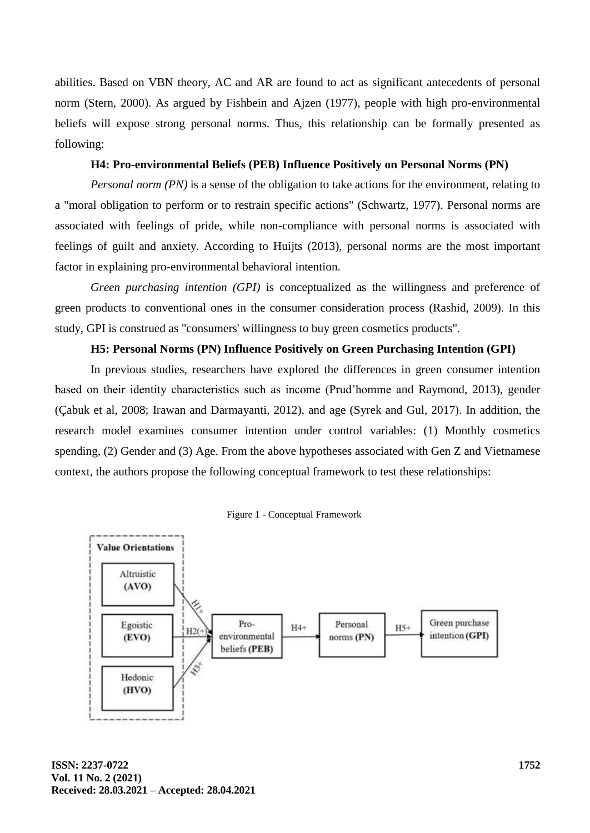abilities. Based on VBN theory, AC and AR are found to act as significant antecedents of personal norm (Stern, 2000). As argued by Fishbein and Ajzen (1977), people with high pro-environmental beliefs will expose strong personal norms. Thus, this relationship can be formally presented as following:

## **H4: Pro-environmental Beliefs (PEB) Influence Positively on Personal Norms (PN)**

*Personal norm (PN)* is a sense of the obligation to take actions for the environment, relating to a "moral obligation to perform or to restrain specific actions" (Schwartz, 1977). Personal norms are associated with feelings of pride, while non-compliance with personal norms is associated with feelings of guilt and anxiety. According to Huijts (2013), personal norms are the most important factor in explaining pro-environmental behavioral intention.

*Green purchasing intention (GPI)* is conceptualized as the willingness and preference of green products to conventional ones in the consumer consideration process (Rashid, 2009). In this study, GPI is construed as "consumers' willingness to buy green cosmetics products".

## **H5: Personal Norms (PN) Influence Positively on Green Purchasing Intention (GPI)**

In previous studies, researchers have explored the differences in green consumer intention based on their identity characteristics such as income (Prud'homme and Raymond, 2013), gender (Çabuk et al, 2008; Irawan and Darmayanti, 2012), and age (Syrek and Gul, 2017). In addition, the research model examines consumer intention under control variables: (1) Monthly cosmetics spending, (2) Gender and (3) Age. From the above hypotheses associated with Gen Z and Vietnamese context, the authors propose the following conceptual framework to test these relationships:



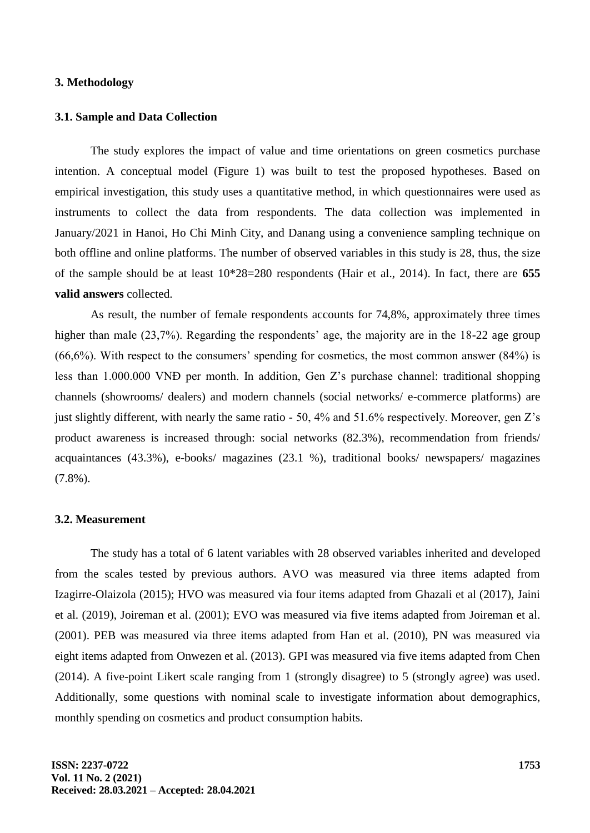### **3. Methodology**

#### **3.1. Sample and Data Collection**

The study explores the impact of value and time orientations on green cosmetics purchase intention. A conceptual model (Figure 1) was built to test the proposed hypotheses. Based on empirical investigation, this study uses a quantitative method, in which questionnaires were used as instruments to collect the data from respondents. The data collection was implemented in January/2021 in Hanoi, Ho Chi Minh City, and Danang using a convenience sampling technique on both offline and online platforms. The number of observed variables in this study is 28, thus, the size of the sample should be at least 10\*28=280 respondents (Hair et al., 2014). In fact, there are **655 valid answers** collected.

As result, the number of female respondents accounts for 74,8%, approximately three times higher than male (23,7%). Regarding the respondents' age, the majority are in the 18-22 age group  $(66,6\%)$ . With respect to the consumers' spending for cosmetics, the most common answer  $(84\%)$  is less than 1.000.000 VNĐ per month. In addition, Gen Z's purchase channel: traditional shopping channels (showrooms/ dealers) and modern channels (social networks/ e-commerce platforms) are just slightly different, with nearly the same ratio - 50, 4% and 51.6% respectively. Moreover, gen Z's product awareness is increased through: social networks (82.3%), recommendation from friends/ acquaintances (43.3%), e-books/ magazines (23.1 %), traditional books/ newspapers/ magazines (7.8%).

#### **3.2. Measurement**

The study has a total of 6 latent variables with 28 observed variables inherited and developed from the scales tested by previous authors. AVO was measured via three items adapted from Izagirre-Olaizola (2015); HVO was measured via four items adapted from Ghazali et al (2017), Jaini et al. (2019), Joireman et al. (2001); EVO was measured via five items adapted from Joireman et al. (2001). PEB was measured via three items adapted from Han et al. (2010), PN was measured via eight items adapted from Onwezen et al. (2013). GPI was measured via five items adapted from Chen (2014). A five-point Likert scale ranging from 1 (strongly disagree) to 5 (strongly agree) was used. Additionally, some questions with nominal scale to investigate information about demographics, monthly spending on cosmetics and product consumption habits.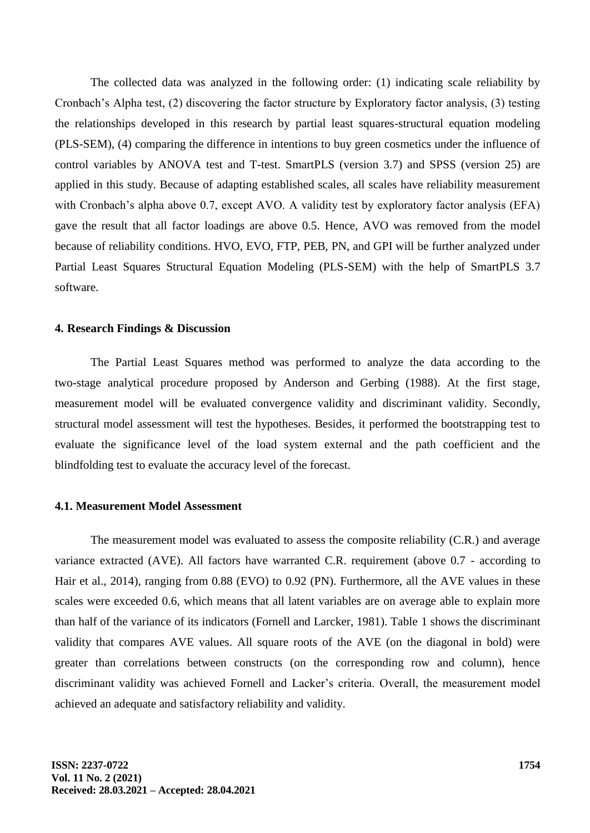The collected data was analyzed in the following order: (1) indicating scale reliability by Cronbach's Alpha test, (2) discovering the factor structure by Exploratory factor analysis, (3) testing the relationships developed in this research by partial least squares-structural equation modeling (PLS-SEM), (4) comparing the difference in intentions to buy green cosmetics under the influence of control variables by ANOVA test and T-test. SmartPLS (version 3.7) and SPSS (version 25) are applied in this study. Because of adapting established scales, all scales have reliability measurement with Cronbach's alpha above 0.7, except AVO. A validity test by exploratory factor analysis (EFA) gave the result that all factor loadings are above 0.5. Hence, AVO was removed from the model because of reliability conditions. HVO, EVO, FTP, PEB, PN, and GPI will be further analyzed under Partial Least Squares Structural Equation Modeling (PLS-SEM) with the help of SmartPLS 3.7 software.

#### **4. Research Findings & Discussion**

The Partial Least Squares method was performed to analyze the data according to the two-stage analytical procedure proposed by Anderson and Gerbing (1988). At the first stage, measurement model will be evaluated convergence validity and discriminant validity. Secondly, structural model assessment will test the hypotheses. Besides, it performed the bootstrapping test to evaluate the significance level of the load system external and the path coefficient and the blindfolding test to evaluate the accuracy level of the forecast.

#### **4.1. Measurement Model Assessment**

The measurement model was evaluated to assess the composite reliability (C.R.) and average variance extracted (AVE). All factors have warranted C.R. requirement (above 0.7 - according to Hair et al., 2014), ranging from 0.88 (EVO) to 0.92 (PN). Furthermore, all the AVE values in these scales were exceeded 0.6, which means that all latent variables are on average able to explain more than half of the variance of its indicators (Fornell and Larcker, 1981). Table 1 shows the discriminant validity that compares AVE values. All square roots of the AVE (on the diagonal in bold) were greater than correlations between constructs (on the corresponding row and column), hence discriminant validity was achieved Fornell and Lacker's criteria. Overall, the measurement model achieved an adequate and satisfactory reliability and validity.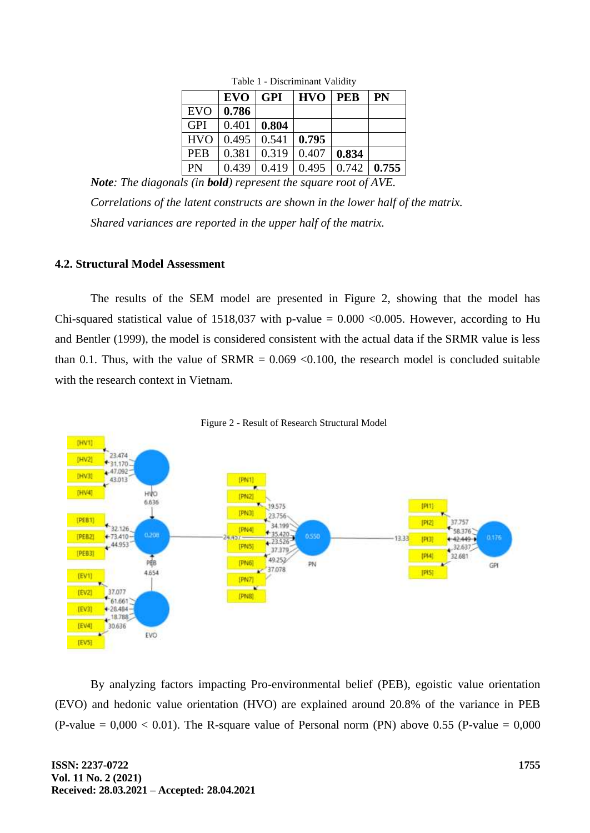|            | <b>EVO</b> | <b>GPI</b> | <b>HVO</b> | <b>PEB</b> | PN    |
|------------|------------|------------|------------|------------|-------|
| <b>EVO</b> | 0.786      |            |            |            |       |
| <b>GPI</b> | 0.401      | 0.804      |            |            |       |
| <b>HVO</b> | 0.495      | 0.541      | 0.795      |            |       |
| <b>PEB</b> | 0.381      | 0.319      | 0.407      | 0.834      |       |
| PN         | 0.439      | 0.419      | 0.495      | 0.742      | 0.755 |

Table 1 - Discriminant Validity

*Note: The diagonals (in bold) represent the square root of AVE. Correlations of the latent constructs are shown in the lower half of the matrix. Shared variances are reported in the upper half of the matrix.*

## **4.2. Structural Model Assessment**

The results of the SEM model are presented in Figure 2, showing that the model has Chi-squared statistical value of 1518,037 with p-value =  $0.000 \le 0.005$ . However, according to Hu and Bentler (1999), the model is considered consistent with the actual data if the SRMR value is less than 0.1. Thus, with the value of  $SRMR = 0.069 \le 0.100$ , the research model is concluded suitable with the research context in Vietnam.



Figure 2 - Result of Research Structural Model

By analyzing factors impacting Pro-environmental belief (PEB), egoistic value orientation (EVO) and hedonic value orientation (HVO) are explained around 20.8% of the variance in PEB (P-value  $= 0,000 < 0.01$ ). The R-square value of Personal norm (PN) above 0.55 (P-value  $= 0,000$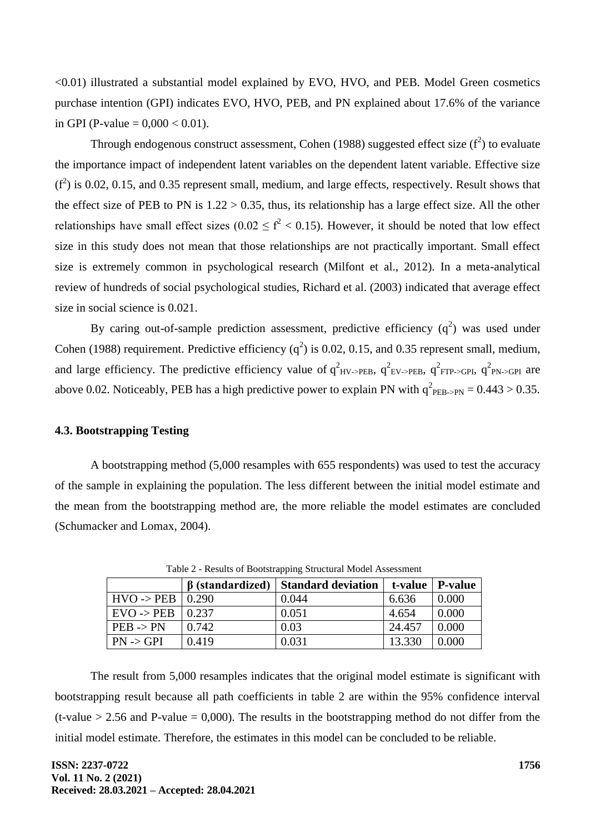<0.01) illustrated a substantial model explained by EVO, HVO, and PEB. Model Green cosmetics purchase intention (GPI) indicates EVO, HVO, PEB, and PN explained about 17.6% of the variance in GPI (P-value =  $0,000 < 0.01$ ).

Through endogenous construct assessment, Cohen (1988) suggested effect size  $(f^2)$  to evaluate the importance impact of independent latent variables on the dependent latent variable. Effective size  $(f<sup>2</sup>)$  is 0.02, 0.15, and 0.35 represent small, medium, and large effects, respectively. Result shows that the effect size of PEB to PN is  $1.22 > 0.35$ , thus, its relationship has a large effect size. All the other relationships have small effect sizes ( $0.02 \le f^2 < 0.15$ ). However, it should be noted that low effect size in this study does not mean that those relationships are not practically important. Small effect size is extremely common in psychological research (Milfont et al., 2012). In a meta-analytical review of hundreds of social psychological studies, Richard et al. (2003) indicated that average effect size in social science is 0.021.

By caring out-of-sample prediction assessment, predictive efficiency  $(q^2)$  was used under Cohen (1988) requirement. Predictive efficiency ( $q^2$ ) is 0.02, 0.15, and 0.35 represent small, medium, and large efficiency. The predictive efficiency value of  $q_{HV\rightarrow PEB}^2$ ,  $q_{EV\rightarrow PEB}^2$ ,  $q_{FTP\rightarrow GPI}^2$ ,  $q_{PN\rightarrow GPI}^2$  are above 0.02. Noticeably, PEB has a high predictive power to explain PN with  $q^2_{\text{PEB-PPN}} = 0.443 > 0.35$ .

#### **4.3. Bootstrapping Testing**

A bootstrapping method (5,000 resamples with 655 respondents) was used to test the accuracy of the sample in explaining the population. The less different between the initial model estimate and the mean from the bootstrapping method are, the more reliable the model estimates are concluded (Schumacker and Lomax, 2004).

|                       | <b>B</b> (standardized) | <b>Standard deviation</b> | t-value | P-value |  |  |  |  |
|-----------------------|-------------------------|---------------------------|---------|---------|--|--|--|--|
| $HVO \rightarrow PEB$ | $\pm 0.290$             | 0.044                     | 6.636   | 0.000   |  |  |  |  |
| $EVO \rightarrow PEB$ | 0.237                   | 0.051                     | 4.654   | 0.000   |  |  |  |  |
| $PEB \rightarrow PN$  | 0.742                   | 0.03                      | 24.457  | 0.000   |  |  |  |  |
| $PN \rightarrow GPI$  | 0.419                   | 0.031                     | 13.330  | 0.000   |  |  |  |  |

Table 2 - Results of Bootstrapping Structural Model Assessment

The result from 5,000 resamples indicates that the original model estimate is significant with bootstrapping result because all path coefficients in table 2 are within the 95% confidence interval (t-value  $> 2.56$  and P-value = 0,000). The results in the bootstrapping method do not differ from the initial model estimate. Therefore, the estimates in this model can be concluded to be reliable.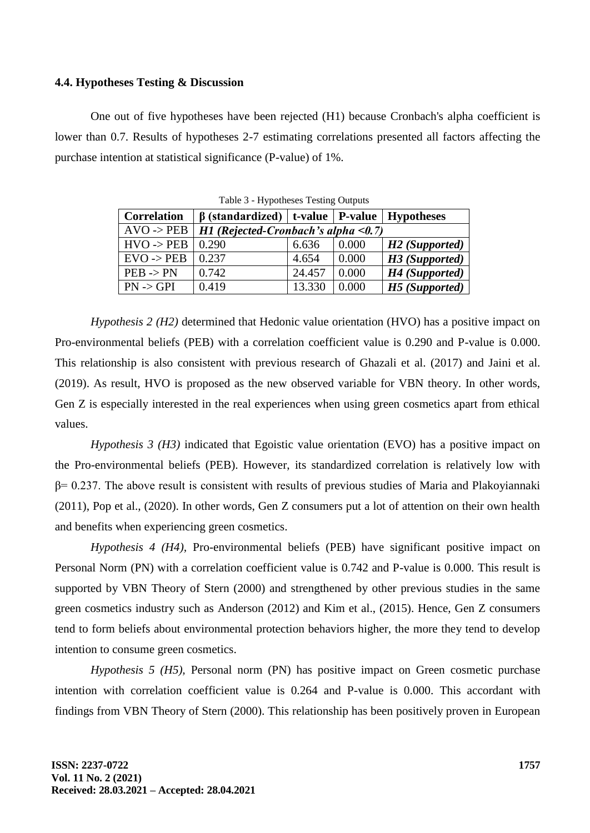#### **4.4. Hypotheses Testing & Discussion**

One out of five hypotheses have been rejected (H1) because Cronbach's alpha coefficient is lower than 0.7. Results of hypotheses 2-7 estimating correlations presented all factors affecting the purchase intention at statistical significance (P-value) of 1%.

| <b>Correlation</b>              | $\beta$ (standardized)   t-value   P-value   Hypotheses |        |       |                            |
|---------------------------------|---------------------------------------------------------|--------|-------|----------------------------|
| $\rm{AVO} \rightarrow \rm{PEB}$ | $H1$ (Rejected-Cronbach's alpha < 0.7)                  |        |       |                            |
| $HVO \rightarrow PEB$           | 0.290                                                   | 6.636  | 0.000 | H <sub>2</sub> (Supported) |
| $EVO \rightarrow PEB$           | 0.237                                                   | 4.654  | 0.000 | H3 (Supported)             |
| $PEB \rightarrow PN$            | 0.742                                                   | 24.457 | 0.000 | H4 (Supported)             |
| $PN \rightarrow GPI$            | 0.419                                                   | 13.330 | 0.000 | H5 (Supported)             |

Table 3 - Hypotheses Testing Outputs

*Hypothesis 2 (H2)* determined that Hedonic value orientation (HVO) has a positive impact on Pro-environmental beliefs (PEB) with a correlation coefficient value is 0.290 and P-value is 0.000. This relationship is also consistent with previous research of Ghazali et al. (2017) and Jaini et al. (2019). As result, HVO is proposed as the new observed variable for VBN theory. In other words, Gen Z is especially interested in the real experiences when using green cosmetics apart from ethical values.

*Hypothesis 3 (H3)* indicated that Egoistic value orientation (EVO) has a positive impact on the Pro-environmental beliefs (PEB). However, its standardized correlation is relatively low with β= 0.237. The above result is consistent with results of previous studies of Maria and Plakoyiannaki (2011), Pop et al., (2020). In other words, Gen Z consumers put a lot of attention on their own health and benefits when experiencing green cosmetics.

*Hypothesis 4 (H4),* Pro-environmental beliefs (PEB) have significant positive impact on Personal Norm (PN) with a correlation coefficient value is 0.742 and P-value is 0.000. This result is supported by VBN Theory of Stern (2000) and strengthened by other previous studies in the same green cosmetics industry such as Anderson (2012) and Kim et al., (2015). Hence, Gen Z consumers tend to form beliefs about environmental protection behaviors higher, the more they tend to develop intention to consume green cosmetics.

*Hypothesis 5 (H5),* Personal norm (PN) has positive impact on Green cosmetic purchase intention with correlation coefficient value is 0.264 and P-value is 0.000. This accordant with findings from VBN Theory of Stern (2000). This relationship has been positively proven in European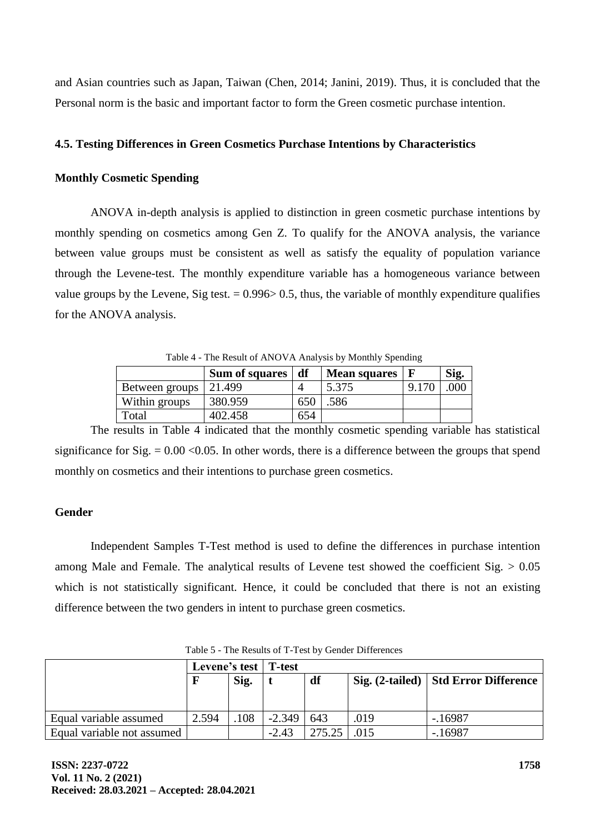and Asian countries such as Japan, Taiwan (Chen, 2014; Janini, 2019). Thus, it is concluded that the Personal norm is the basic and important factor to form the Green cosmetic purchase intention.

## **4.5. Testing Differences in Green Cosmetics Purchase Intentions by Characteristics**

### **Monthly Cosmetic Spending**

ANOVA in-depth analysis is applied to distinction in green cosmetic purchase intentions by monthly spending on cosmetics among Gen Z. To qualify for the ANOVA analysis, the variance between value groups must be consistent as well as satisfy the equality of population variance through the Levene-test. The monthly expenditure variable has a homogeneous variance between value groups by the Levene, Sig test.  $= 0.996 \ge 0.5$ , thus, the variable of monthly expenditure qualifies for the ANOVA analysis.

Table 4 - The Result of ANOVA Analysis by Monthly Spending

|                | Sum of squares | df  | <b>Mean squares</b> | Sig. |
|----------------|----------------|-----|---------------------|------|
| Between groups | 21.499         |     | 5.375               |      |
| Within groups  | 380.959        | 650 | .586                |      |
| Total          | 402.458        | 654 |                     |      |

The results in Table 4 indicated that the monthly cosmetic spending variable has statistical significance for Sig.  $= 0.00 \le 0.05$ . In other words, there is a difference between the groups that spend monthly on cosmetics and their intentions to purchase green cosmetics.

### **Gender**

Independent Samples T-Test method is used to define the differences in purchase intention among Male and Female. The analytical results of Levene test showed the coefficient  $Sig. > 0.05$ which is not statistically significant. Hence, it could be concluded that there is not an existing difference between the two genders in intent to purchase green cosmetics.

|                            | Levene's test   T-test<br>Sig. |     |          |               |      |                                        |  |  |
|----------------------------|--------------------------------|-----|----------|---------------|------|----------------------------------------|--|--|
|                            |                                |     |          | df            |      | Sig. (2-tailed)   Std Error Difference |  |  |
|                            |                                |     |          |               |      |                                        |  |  |
|                            |                                |     |          |               |      |                                        |  |  |
| Equal variable assumed     | 2.594                          | 108 | $-2.349$ | 643           | .019 | $-16987$                               |  |  |
| Equal variable not assumed |                                |     | $-2.43$  | $275.25$ .015 |      | $-16987$                               |  |  |

Table 5 - The Results of T-Test by Gender Differences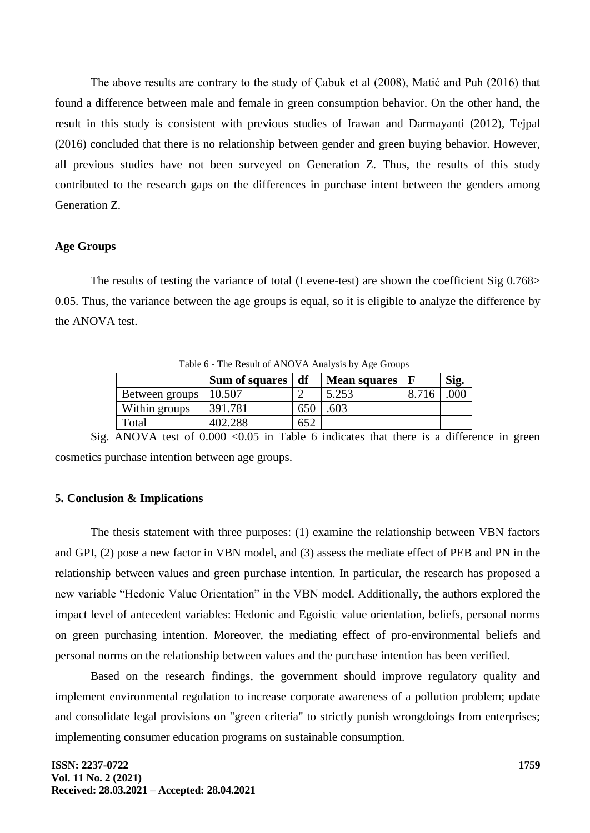The above results are contrary to the study of Çabuk et al (2008), Matić and Puh (2016) that found a difference between male and female in green consumption behavior. On the other hand, the result in this study is consistent with previous studies of Irawan and Darmayanti (2012), Tejpal (2016) concluded that there is no relationship between gender and green buying behavior. However, all previous studies have not been surveyed on Generation Z. Thus, the results of this study contributed to the research gaps on the differences in purchase intent between the genders among Generation Z.

### **Age Groups**

The results of testing the variance of total (Levene-test) are shown the coefficient Sig 0.768> 0.05. Thus, the variance between the age groups is equal, so it is eligible to analyze the difference by the ANOVA test.

| Twore $\sigma$ - The Result of THRS (Triangle of Tigs or Stoups |                |     |                     |       |      |  |  |  |
|-----------------------------------------------------------------|----------------|-----|---------------------|-------|------|--|--|--|
|                                                                 | Sum of squares | df  | <b>Mean squares</b> |       | Sig. |  |  |  |
| Between groups                                                  | 10.507         |     | 5.253               | 8.716 | 000  |  |  |  |
| Within groups                                                   | 391.781        | 650 | 603                 |       |      |  |  |  |
| Total                                                           | 402.288        | 652 |                     |       |      |  |  |  |

Table 6 - The Result of ANOVA Analysis by Age Groups

Sig. ANOVA test of  $0.000 \le 0.05$  in Table 6 indicates that there is a difference in green cosmetics purchase intention between age groups.

#### **5. Conclusion & Implications**

The thesis statement with three purposes: (1) examine the relationship between VBN factors and GPI, (2) pose a new factor in VBN model, and (3) assess the mediate effect of PEB and PN in the relationship between values and green purchase intention. In particular, the research has proposed a new variable "Hedonic Value Orientation" in the VBN model. Additionally, the authors explored the impact level of antecedent variables: Hedonic and Egoistic value orientation, beliefs, personal norms on green purchasing intention. Moreover, the mediating effect of pro-environmental beliefs and personal norms on the relationship between values and the purchase intention has been verified.

Based on the research findings, the government should improve regulatory quality and implement environmental regulation to increase corporate awareness of a pollution problem; update and consolidate legal provisions on "green criteria" to strictly punish wrongdoings from enterprises; implementing consumer education programs on sustainable consumption.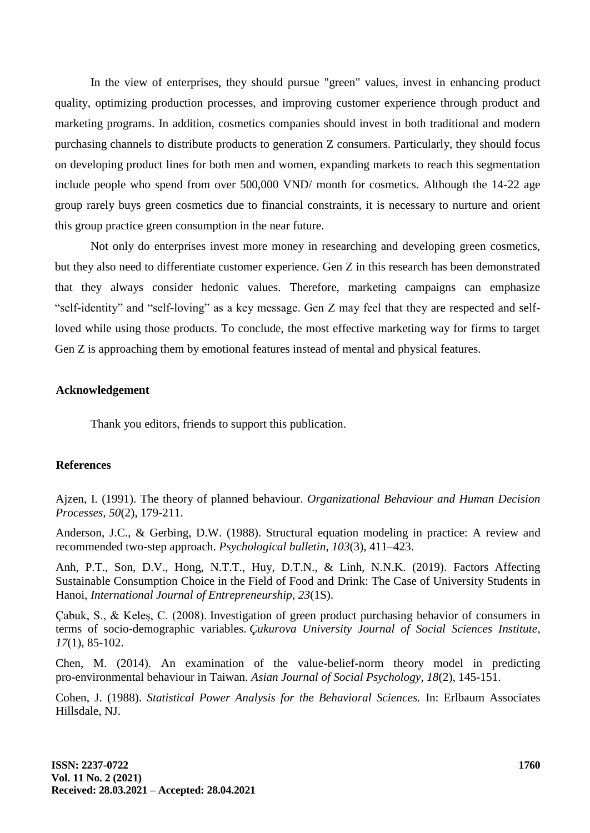In the view of enterprises, they should pursue "green" values, invest in enhancing product quality, optimizing production processes, and improving customer experience through product and marketing programs. In addition, cosmetics companies should invest in both traditional and modern purchasing channels to distribute products to generation Z consumers. Particularly, they should focus on developing product lines for both men and women, expanding markets to reach this segmentation include people who spend from over 500,000 VND/ month for cosmetics. Although the 14-22 age group rarely buys green cosmetics due to financial constraints, it is necessary to nurture and orient this group practice green consumption in the near future.

Not only do enterprises invest more money in researching and developing green cosmetics, but they also need to differentiate customer experience. Gen Z in this research has been demonstrated that they always consider hedonic values. Therefore, marketing campaigns can emphasize "self-identity" and "self-loving" as a key message. Gen Z may feel that they are respected and selfloved while using those products. To conclude, the most effective marketing way for firms to target Gen Z is approaching them by emotional features instead of mental and physical features.

#### **Acknowledgement**

Thank you editors, friends to support this publication.

#### **References**

Ajzen, I. (1991). The theory of planned behaviour. *Organizational Behaviour and Human Decision Processes, 50*(2), 179-211.

Anderson, J.C., & Gerbing, D.W. (1988). Structural equation modeling in practice: A review and recommended two-step approach. *Psychological bulletin*, *103*(3), 411–423.

Anh, P.T., Son, D.V., Hong, N.T.T., Huy, D.T.N., & Linh, N.N.K. (2019). Factors Affecting Sustainable Consumption Choice in the Field of Food and Drink: The Case of University Students in Hanoi, *International Journal of Entrepreneurship*, *23*(1S).

Çabuk, S., & Keleş, C. (2008). Investigation of green product purchasing behavior of consumers in terms of socio-demographic variables. *Çukurova University Journal of Social Sciences Institute*, *17*(1), 85-102.

Chen, M. (2014). An examination of the value-belief-norm theory model in predicting pro-environmental behaviour in Taiwan. *Asian Journal of Social Psychology, 18*(2), 145-151.

Cohen, J. (1988). *Statistical Power Analysis for the Behavioral Sciences.* In: Erlbaum Associates Hillsdale, NJ.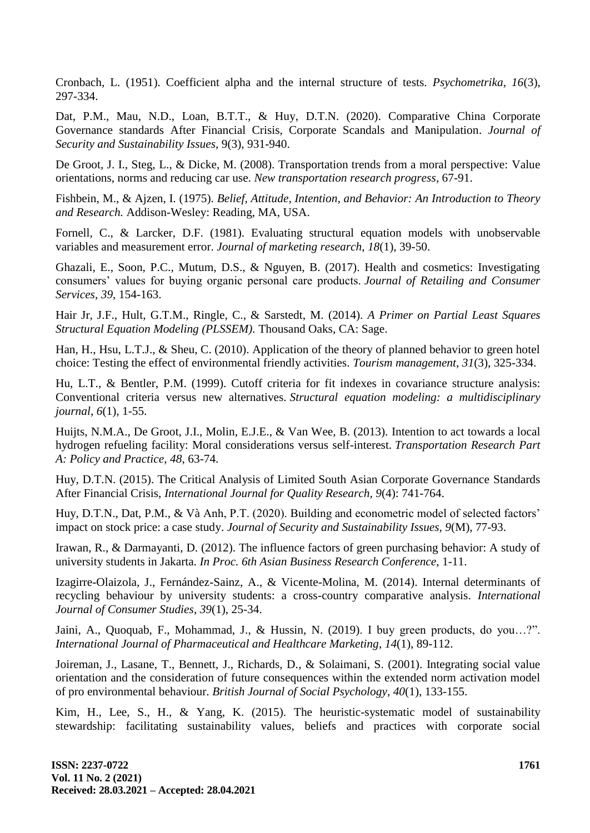Cronbach, L. (1951). Coefficient alpha and the internal structure of tests. *Psychometrika, 16*(3), 297-334.

Dat, P.M., Mau, N.D., Loan, B.T.T., & Huy, D.T.N. (2020). Comparative [China Corporate](http://www.tb.lt/Leidiniai/SSI/9-3/9_3_18.pdf)  [Governance standards After Financial Crisis, Corporate Scandals and Manipulation.](http://www.tb.lt/Leidiniai/SSI/9-3/9_3_18.pdf) *Journal of Security and Sustainability Issues,* 9(3), 931-940.

De Groot, J. I., Steg, L., & Dicke, M. (2008). Transportation trends from a moral perspective: Value orientations, norms and reducing car use. *New transportation research progress*, 67-91.

Fishbein, M., & Ajzen, I. (1975). *Belief, Attitude, Intention, and Behavior: An Introduction to Theory and Research.* Addison-Wesley: Reading, MA, USA.

Fornell, C., & Larcker, D.F. (1981). Evaluating structural equation models with unobservable variables and measurement error. *Journal of marketing research*, *18*(1), 39-50.

Ghazali, E., Soon, P.C., Mutum, D.S., & Nguyen, B. (2017). Health and cosmetics: Investigating consumers' values for buying organic personal care products. *Journal of Retailing and Consumer Services*, *39*, 154-163.

Hair Jr, J.F., Hult, G.T.M., Ringle, C., & Sarstedt, M. (2014). *A Primer on Partial Least Squares Structural Equation Modeling (PLSSEM).* Thousand Oaks, CA: Sage.

Han, H., Hsu, L.T.J., & Sheu, C. (2010). Application of the theory of planned behavior to green hotel choice: Testing the effect of environmental friendly activities. *Tourism management*, *31*(3), 325-334.

Hu, L.T., & Bentler, P.M. (1999). Cutoff criteria for fit indexes in covariance structure analysis: Conventional criteria versus new alternatives. *Structural equation modeling: a multidisciplinary journal*, *6*(1), 1-55.

Huijts, N.M.A., De Groot, J.I., Molin, E.J.E., & Van Wee, B. (2013). Intention to act towards a local hydrogen refueling facility: Moral considerations versus self-interest. *Transportation Research Part A: Policy and Practice*, *48*, 63-74.

Huy, D.T.N. (2015). The Critical Analysis of Limited South Asian Corporate Governance Standards After Financial Crisis, *International Journal for Quality Research, 9*(4): 741-764.

Huy, D.T.N., Dat, P.M., & Và Anh, P.T. (2020). Building and econometric model of selected factors' impact on stock price: a case study. *Journal of Security and Sustainability Issues, 9*(M), 77-93.

Irawan, R., & Darmayanti, D. (2012). The influence factors of green purchasing behavior: A study of university students in Jakarta. *In Proc. 6th Asian Business Research Conference*, 1-11.

Izagirre-Olaizola, J., Fernández-Sainz, A., & Vicente-Molina, M. (2014). Internal determinants of recycling behaviour by university students: a cross-country comparative analysis. *International Journal of Consumer Studies*, *39*(1), 25-34.

Jaini, A., Quoquab, F., Mohammad, J., & Hussin, N. (2019). I buy green products, do you...?". *International Journal of Pharmaceutical and Healthcare Marketing*, *14*(1), 89-112.

Joireman, J., Lasane, T., Bennett, J., Richards, D., & Solaimani, S. (2001). Integrating social value orientation and the consideration of future consequences within the extended norm activation model of pro environmental behaviour. *British Journal of Social Psychology*, *40*(1), 133-155.

Kim, H., Lee, S., H., & Yang, K. (2015). The heuristic-systematic model of sustainability stewardship: facilitating sustainability values, beliefs and practices with corporate social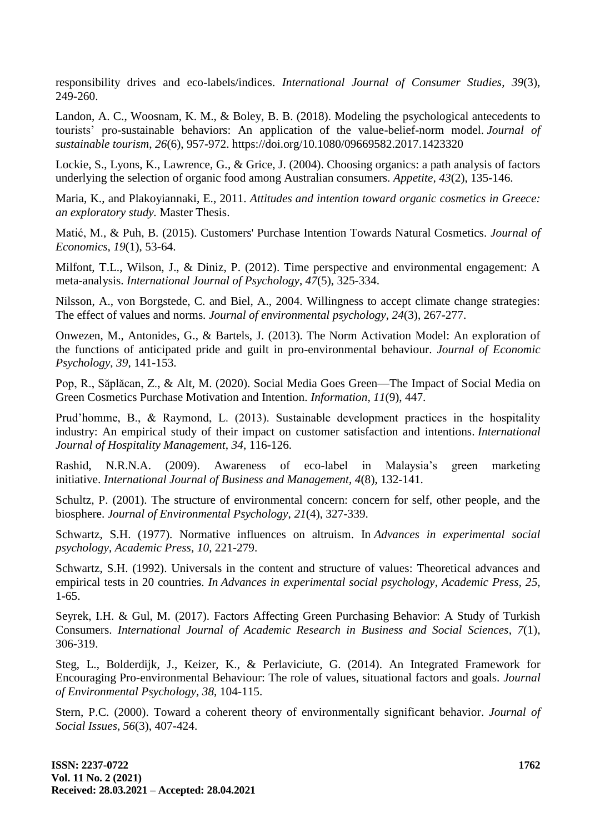responsibility drives and eco-labels/indices. *International Journal of Consumer Studies*, *39*(3), 249-260.

Landon, A. C., Woosnam, K. M., & Boley, B. B. (2018). Modeling the psychological antecedents to tourists' pro-sustainable behaviors: An application of the value-belief-norm model. *Journal of sustainable tourism*, *26*(6), 957-972. https://doi.org/10.1080/09669582.2017.1423320

Lockie, S., Lyons, K., Lawrence, G., & Grice, J. (2004). Choosing organics: a path analysis of factors underlying the selection of organic food among Australian consumers. *Appetite, 43*(2), 135-146.

Maria, K., and Plakoyiannaki, E., 2011. *Attitudes and intention toward organic cosmetics in Greece: an exploratory study.* Master Thesis.

Matić, M., & Puh, B. (2015). Customers' Purchase Intention Towards Natural Cosmetics. *Journal of Economics, 19*(1), 53-64.

Milfont, T.L., Wilson, J., & Diniz, P. (2012). Time perspective and environmental engagement: A meta-analysis. *International Journal of Psychology*, *47*(5), 325-334.

Nilsson, A., von Borgstede, C. and Biel, A., 2004. Willingness to accept climate change strategies: The effect of values and norms*. Journal of environmental psychology*, *24*(3), 267-277.

Onwezen, M., Antonides, G., & Bartels, J. (2013). The Norm Activation Model: An exploration of the functions of anticipated pride and guilt in pro-environmental behaviour. *Journal of Economic Psychology*, *39*, 141-153.

Pop, R., Săplăcan, Z., & Alt, M. (2020). Social Media Goes Green—The Impact of Social Media on Green Cosmetics Purchase Motivation and Intention. *Information, 11*(9), 447.

Prud'homme, B., & Raymond, L. (2013). Sustainable development practices in the hospitality industry: An empirical study of their impact on customer satisfaction and intentions. *International Journal of Hospitality Management*, *34*, 116-126.

Rashid, N.R.N.A. (2009). Awareness of eco-label in Malaysia's green marketing initiative. *International Journal of Business and Management*, *4*(8), 132-141.

Schultz, P. (2001). The structure of environmental concern: concern for self, other people, and the biosphere. *Journal of Environmental Psychology*, *21*(4), 327-339.

Schwartz, S.H. (1977). Normative influences on altruism. In *Advances in experimental social psychology*, *Academic Press, 10*, 221-279.

Schwartz, S.H. (1992). Universals in the content and structure of values: Theoretical advances and empirical tests in 20 countries. *In Advances in experimental social psychology*, *Academic Press, 25*, 1-65.

Seyrek, I.H. & Gul, M. (2017). Factors Affecting Green Purchasing Behavior: A Study of Turkish Consumers. *International Journal of Academic Research in Business and Social Sciences*, *7*(1), 306-319.

Steg, L., Bolderdijk, J., Keizer, K., & Perlaviciute, G. (2014). An Integrated Framework for Encouraging Pro-environmental Behaviour: The role of values, situational factors and goals. *Journal of Environmental Psychology, 38*, 104-115.

Stern, P.C. (2000). Toward a coherent theory of environmentally significant behavior. *Journal of Social Issues*, *56*(3), 407-424.